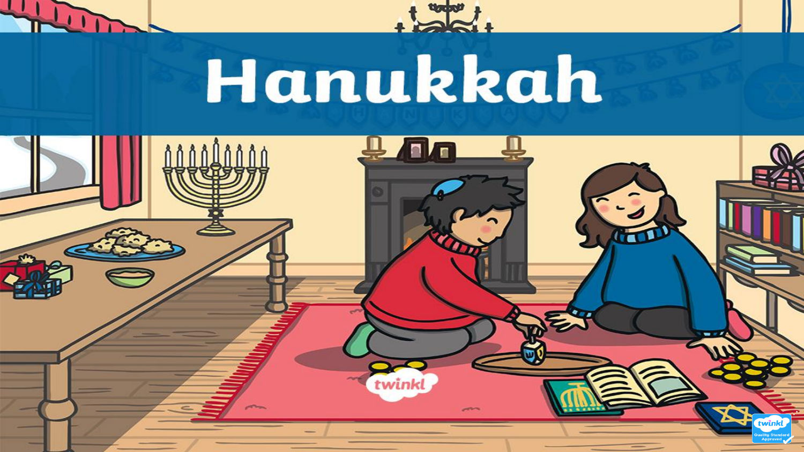

# Hanukkah

 $+221$ 

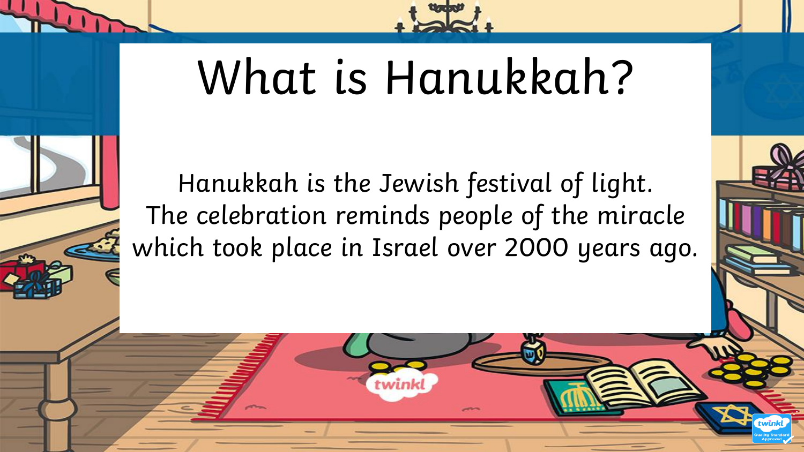

### What is Hanukkah?

Hanukkah is the Jewish festival of light. The celebration reminds people of the miracle which took place in Israel over 2000 years ago.

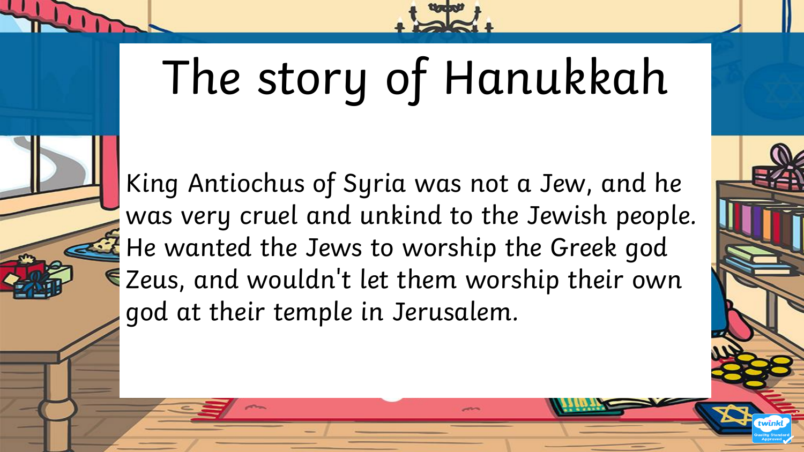

## The story of Hanukkah

King Antiochus of Syria was not a Jew, and he was very cruel and unkind to the Jewish people. He wanted the Jews to worship the Greek god Zeus, and wouldn't let them worship their own god at their temple in Jerusalem.

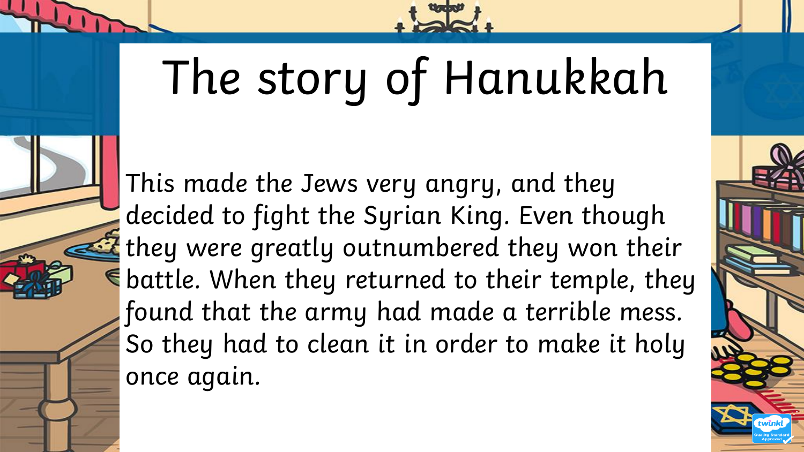

## The story of Hanukkah

This made the Jews very angry, and they decided to fight the Syrian King. Even though they were greatly outnumbered they won their  $\epsilon$  battle. When they returned to their temple, they found that the army had made a terrible mess. So they had to clean it in order to make it holy once again.

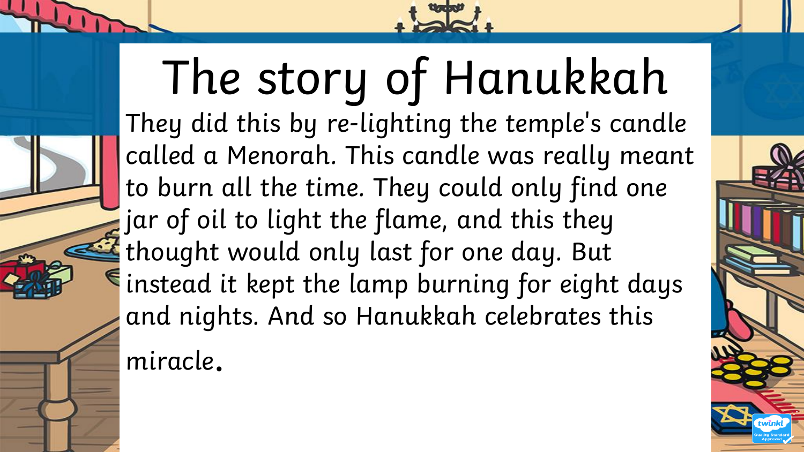

#### The story of Hanukkah They did this by re-lighting the temple's candle called a Menorah. This candle was really meant to burn all the time. They could only find one jar of oil to light the flame, and this they thought would only last for one day. But instead it kept the lamp burning for eight days and nights. And so Hanukkah celebrates this miracle.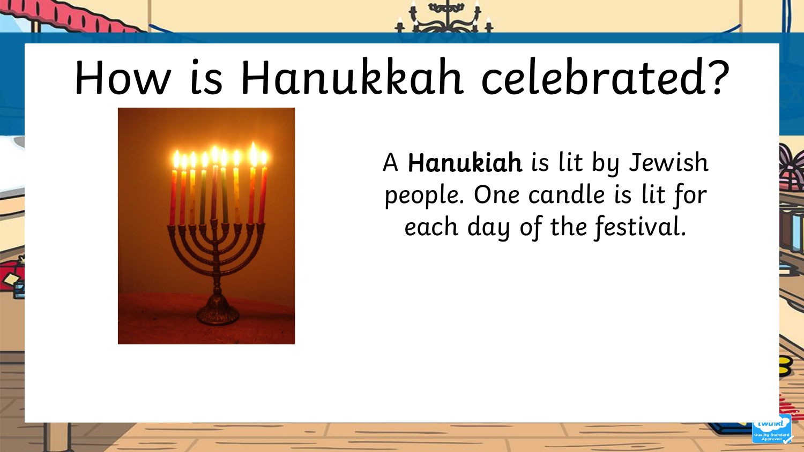#### How is Hanukkah celebrated?



A Hanukiah is lit by Jewish people. One candle is lit for each day of the festival.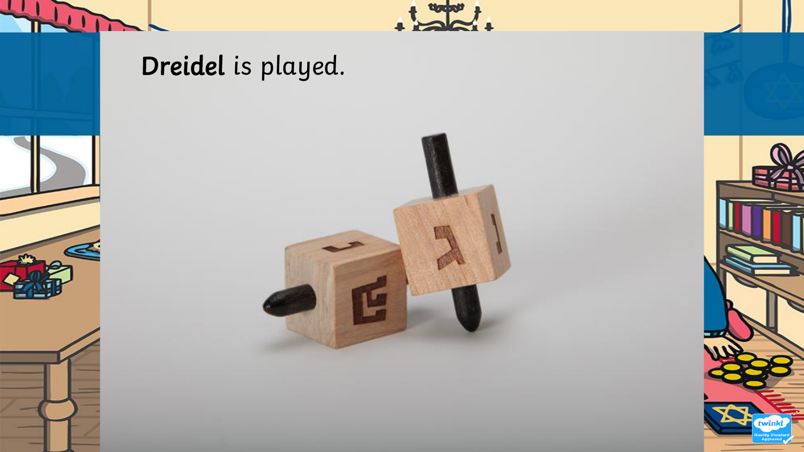

G





 $\frac{1}{2}$ 

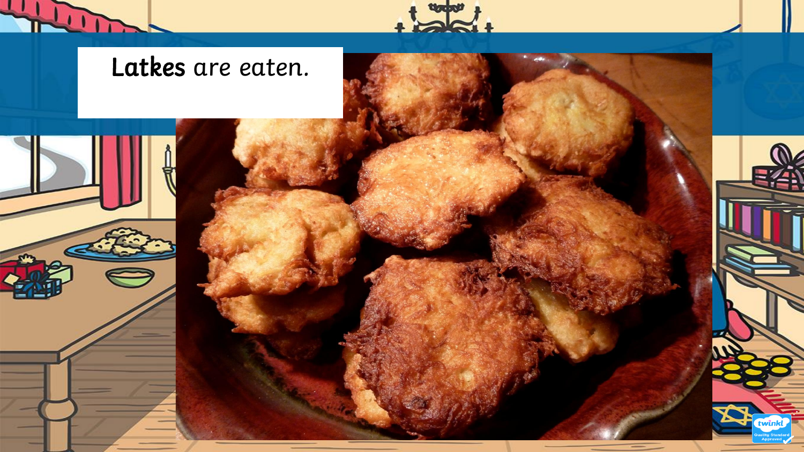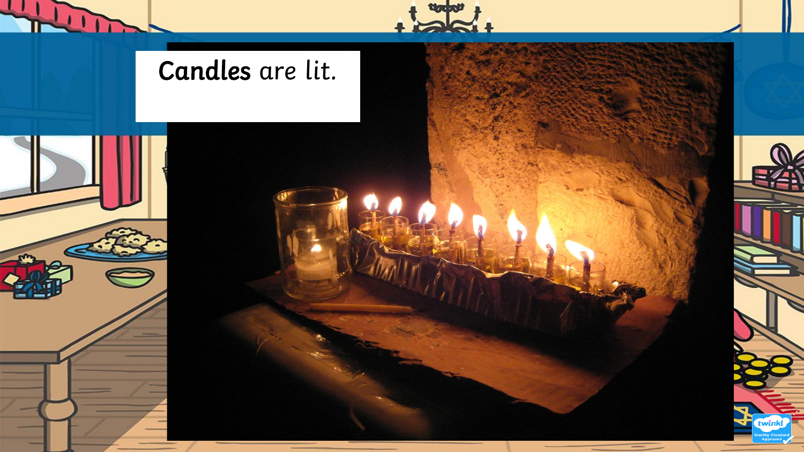